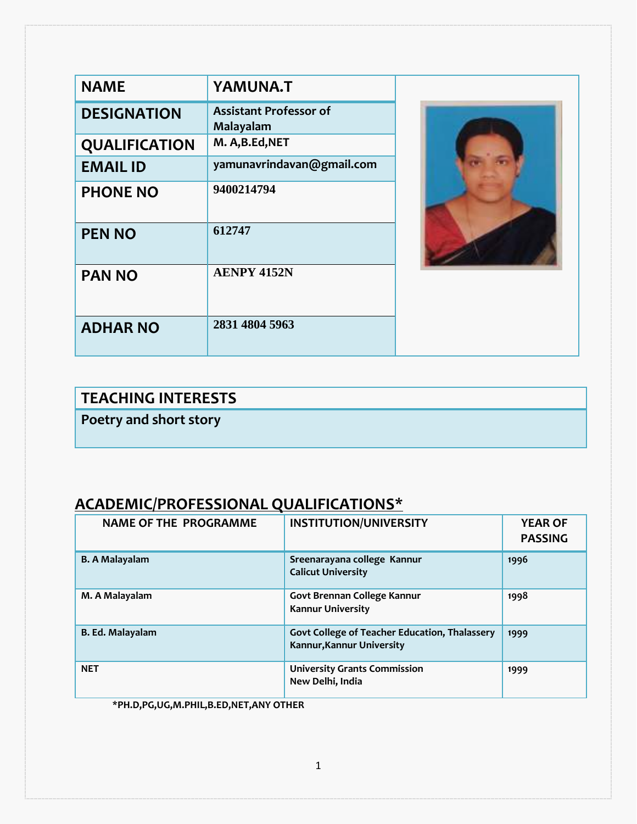| <b>NAME</b>          | <b>YAMUNA.T</b>                            |  |
|----------------------|--------------------------------------------|--|
| <b>DESIGNATION</b>   | <b>Assistant Professor of</b><br>Malayalam |  |
| <b>QUALIFICATION</b> | M. A, B.Ed, NET                            |  |
| <b>EMAIL ID</b>      | yamunavrindavan@gmail.com                  |  |
| <b>PHONE NO</b>      | 9400214794                                 |  |
| <b>PEN NO</b>        | 612747                                     |  |
| <b>PAN NO</b>        | <b>AENPY 4152N</b>                         |  |
| <b>ADHAR NO</b>      | 2831 4804 5963                             |  |

# **TEACHING INTERESTS**

**Poetry and short story**

### **ACADEMIC/PROFESSIONAL QUALIFICATIONS\***

| <b>NAME OF THE PROGRAMME</b> | <b>INSTITUTION/UNIVERSITY</b>                                              | <b>YEAR OF</b><br><b>PASSING</b> |
|------------------------------|----------------------------------------------------------------------------|----------------------------------|
| <b>B. A Malayalam</b>        | Sreenarayana college Kannur<br><b>Calicut University</b>                   | 1996                             |
| M. A Malayalam               | Govt Brennan College Kannur<br><b>Kannur University</b>                    | 1998                             |
| B. Ed. Malayalam             | Govt College of Teacher Education, Thalassery<br>Kannur, Kannur University | 1999                             |
| <b>NET</b>                   | <b>University Grants Commission</b><br>New Delhi, India                    | 1999                             |

**\*PH.D,PG,UG,M.PHIL,B.ED,NET,ANY OTHER**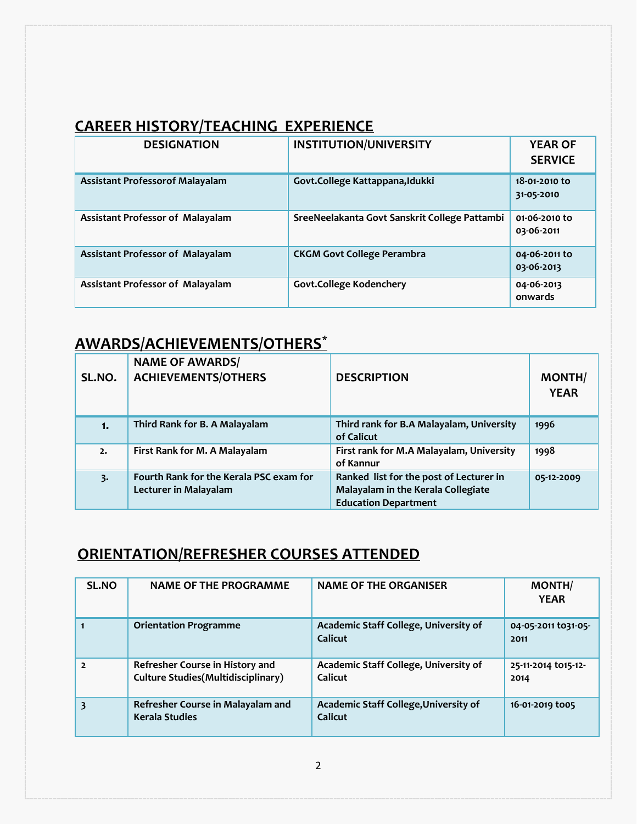#### **CAREER HISTORY/TEACHING EXPERIENCE**

| <b>DESIGNATION</b>                      | <b>INSTITUTION/UNIVERSITY</b>                 | <b>YEAR OF</b><br><b>SERVICE</b> |
|-----------------------------------------|-----------------------------------------------|----------------------------------|
| <b>Assistant Professorof Malayalam</b>  | Govt.College Kattappana, Idukki               | 18-01-2010 to<br>31-05-2010      |
| <b>Assistant Professor of Malayalam</b> | SreeNeelakanta Govt Sanskrit College Pattambi | 01-06-2010 to<br>03-06-2011      |
| <b>Assistant Professor of Malayalam</b> | <b>CKGM Govt College Perambra</b>             | 04-06-2011 to<br>03-06-2013      |
| Assistant Professor of Malayalam        | <b>Govt.College Kodenchery</b>                | 04-06-2013<br>onwards            |

### **AWARDS/ACHIEVEMENTS/OTHERS\***

| SL.NO. | <b>NAME OF AWARDS/</b><br><b>ACHIEVEMENTS/OTHERS</b>                    | <b>DESCRIPTION</b>                                                                                           | <b>MONTH/</b><br><b>YEAR</b> |
|--------|-------------------------------------------------------------------------|--------------------------------------------------------------------------------------------------------------|------------------------------|
| 1.     | Third Rank for B. A Malayalam                                           | Third rank for B.A Malayalam, University<br>of Calicut                                                       | 1996                         |
| 2.     | First Rank for M. A Malayalam                                           | First rank for M.A Malayalam, University<br>of Kannur                                                        | 1998                         |
| 3.     | Fourth Rank for the Kerala PSC exam for<br><b>Lecturer in Malayalam</b> | Ranked list for the post of Lecturer in<br>Malayalam in the Kerala Collegiate<br><b>Education Department</b> | 05-12-2009                   |

### **ORIENTATION/REFRESHER COURSES ATTENDED**

| <b>SL.NO</b>   | <b>NAME OF THE PROGRAMME</b>                                                  | <b>NAME OF THE ORGANISER</b>                     | <b>MONTH/</b><br><b>YEAR</b> |
|----------------|-------------------------------------------------------------------------------|--------------------------------------------------|------------------------------|
|                | <b>Orientation Programme</b>                                                  | Academic Staff College, University of<br>Calicut | 04-05-2011 to 31-05-<br>2011 |
| $\overline{2}$ | Refresher Course in History and<br><b>Culture Studies (Multidisciplinary)</b> | Academic Staff College, University of<br>Calicut | 25-11-2014 to15-12-<br>2014  |
| 3              | Refresher Course in Malayalam and<br><b>Kerala Studies</b>                    | Academic Staff College, University of<br>Calicut | 16-01-2019 to05              |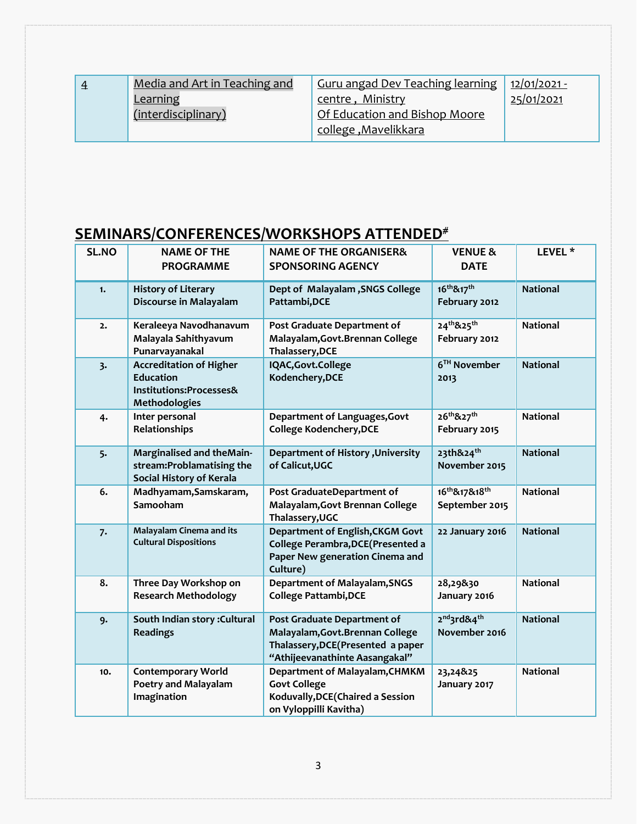| $\overline{4}$ | Media and Art in Teaching and | <b>Guru angad Dev Teaching learning</b> | <u> 12/01/2021 -</u> |
|----------------|-------------------------------|-----------------------------------------|----------------------|
|                | Learning                      | centre, Ministry                        | 25/01/2021           |
|                | (interdisciplinary)           | Of Education and Bishop Moore           |                      |
|                |                               | <u>college, Mavelikkara</u>             |                      |

## **SEMINARS/CONFERENCES/WORKSHOPS ATTENDED#**

| <b>SL.NO</b> | <b>NAME OF THE</b><br><b>PROGRAMME</b>                                                         | <b>NAME OF THE ORGANISER&amp;</b><br><b>SPONSORING AGENCY</b>                                                                           | <b>VENUE &amp;</b><br><b>DATE</b>                    | LEVEL <sup>*</sup> |
|--------------|------------------------------------------------------------------------------------------------|-----------------------------------------------------------------------------------------------------------------------------------------|------------------------------------------------------|--------------------|
| 1.           | <b>History of Literary</b><br>Discourse in Malayalam                                           | Dept of Malayalam, SNGS College<br>Pattambi, DCE                                                                                        | 16 <sup>th</sup> &17 <sup>th</sup><br>February 2012  | <b>National</b>    |
| 2.           | Keraleeya Navodhanavum<br>Malayala Sahithyavum<br>Punarvayanakal                               | Post Graduate Department of<br>Malayalam, Govt. Brennan College<br>Thalassery, DCE                                                      | 24th&25th<br>February 2012                           | <b>National</b>    |
| 3.           | <b>Accreditation of Higher</b><br><b>Education</b><br>Institutions:Processes&<br>Methodologies | IQAC, Govt. College<br>Kodenchery, DCE                                                                                                  | 6 <sup>TH</sup> November<br>2013                     | <b>National</b>    |
| 4.           | Inter personal<br>Relationships                                                                | Department of Languages, Govt<br>College Kodenchery, DCE                                                                                | 26 <sup>th</sup> &27 <sup>th</sup><br>February 2015  | <b>National</b>    |
| 5.           | Marginalised and theMain-<br>stream:Problamatising the<br>Social History of Kerala             | <b>Department of History , University</b><br>of Calicut, UGC                                                                            | 23th&24 <sup>th</sup><br>November 2015               | <b>National</b>    |
| 6.           | Madhyamam, Samskaram,<br>Samooham                                                              | Post GraduateDepartment of<br>Malayalam, Govt Brennan College<br>Thalassery, UGC                                                        | 16th&17&18th<br>September 2015                       | <b>National</b>    |
| 7.           | <b>Malayalam Cinema and its</b><br><b>Cultural Dispositions</b>                                | Department of English, CKGM Govt<br>College Perambra, DCE (Presented a<br>Paper New generation Cinema and<br>Culture)                   | 22 January 2016                                      | <b>National</b>    |
| 8.           | Three Day Workshop on<br><b>Research Methodology</b>                                           | <b>Department of Malayalam, SNGS</b><br><b>College Pattambi, DCE</b>                                                                    | 28,29&30<br>January 2016                             | <b>National</b>    |
| 9.           | South Indian story : Cultural<br><b>Readings</b>                                               | Post Graduate Department of<br>Malayalam, Govt. Brennan College<br>Thalassery, DCE (Presented a paper<br>"Athijeevanathinte Aasangakal" | 2 <sup>nd</sup> 3rd&4 <sup>th</sup><br>November 2016 | <b>National</b>    |
| 10.          | <b>Contemporary World</b><br><b>Poetry and Malayalam</b><br>Imagination                        | Department of Malayalam, CHMKM<br><b>Govt College</b><br>Koduvally, DCE (Chaired a Session<br>on Vyloppilli Kavitha)                    | 23,24&25<br>January 2017                             | <b>National</b>    |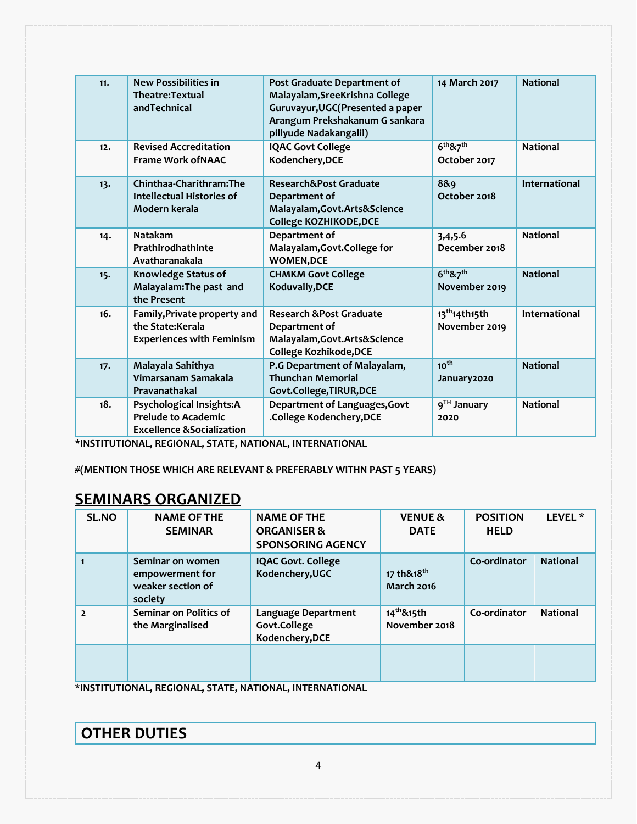| 11. | <b>New Possibilities in</b><br>Theatre: Textual<br>andTechnical                                 | Post Graduate Department of<br>Malayalam, SreeKrishna College<br>Guruvayur, UGC (Presented a paper<br>Arangum Prekshakanum G sankara<br>pillyude Nadakangalil) | 14 March 2017                                     | <b>National</b>      |
|-----|-------------------------------------------------------------------------------------------------|----------------------------------------------------------------------------------------------------------------------------------------------------------------|---------------------------------------------------|----------------------|
| 12. | <b>Revised Accreditation</b><br><b>Frame Work of NAAC</b>                                       | <b>IQAC Govt College</b><br>Kodenchery, DCE                                                                                                                    | 6 <sup>th</sup> 87 <sup>th</sup><br>October 2017  | <b>National</b>      |
| 13. | Chinthaa-Charithram: The<br><b>Intellectual Histories of</b><br>Modern kerala                   | Research&Post Graduate<br>Department of<br>Malayalam, Govt. Arts& Science<br>College KOZHIKODE, DCE                                                            | 8&9<br>October 2018                               | <b>International</b> |
| 14. | <b>Natakam</b><br>Prathirodhathinte<br>Avatharanakala                                           | Department of<br>Malayalam, Govt. College for<br><b>WOMEN,DCE</b>                                                                                              | 3,4,5.6<br>December 2018                          | <b>National</b>      |
| 15. | <b>Knowledge Status of</b><br>Malayalam: The past and<br>the Present                            | <b>CHMKM Govt College</b><br>Koduvally, DCE                                                                                                                    | 6 <sup>th</sup> 87 <sup>th</sup><br>November 2019 | <b>National</b>      |
| 16. | Family, Private property and<br>the State:Kerala<br><b>Experiences with Feminism</b>            | <b>Research &amp; Post Graduate</b><br>Department of<br>Malayalam, Govt. Arts& Science<br>College Kozhikode, DCE                                               | 13 <sup>th</sup> 14th15th<br>November 2019        | International        |
| 17. | Malayala Sahithya<br>Vimarsanam Samakala<br>Pravanathakal                                       | P.G Department of Malayalam,<br><b>Thunchan Memorial</b><br>Govt.College,TIRUR,DCE                                                                             | $10^{th}$<br>January2020                          | <b>National</b>      |
| 18. | Psychological Insights:A<br><b>Prelude to Academic</b><br><b>Excellence &amp; Socialization</b> | Department of Languages, Govt<br>.College Kodenchery, DCE                                                                                                      | 9 <sup>TH</sup> January<br>2020                   | <b>National</b>      |

**\*INSTITUTIONAL, REGIONAL, STATE, NATIONAL, INTERNATIONAL**

**#(MENTION THOSE WHICH ARE RELEVANT & PREFERABLY WITHN PAST 5 YEARS)**

#### **SEMINARS ORGANIZED**

| <b>SL.NO</b>   | <b>NAME OF THE</b>            | <b>NAME OF THE</b>        | <b>VENUE &amp;</b>     | <b>POSITION</b> | LEVEL <sup>*</sup> |
|----------------|-------------------------------|---------------------------|------------------------|-----------------|--------------------|
|                | <b>SEMINAR</b>                | <b>ORGANISER &amp;</b>    | <b>DATE</b>            | <b>HELD</b>     |                    |
|                |                               | <b>SPONSORING AGENCY</b>  |                        |                 |                    |
|                | Seminar on women              | <b>IQAC Govt. College</b> |                        | Co-ordinator    | <b>National</b>    |
|                | empowerment for               | Kodenchery, UGC           | 17 th&18 <sup>th</sup> |                 |                    |
|                | weaker section of             |                           | <b>March 2016</b>      |                 |                    |
|                | society                       |                           |                        |                 |                    |
| $\overline{2}$ | <b>Seminar on Politics of</b> | Language Department       | 14 <sup>th</sup> &15th | Co-ordinator    | <b>National</b>    |
|                | the Marginalised              | Govt.College              | November 2018          |                 |                    |
|                |                               | Kodenchery, DCE           |                        |                 |                    |
|                |                               |                           |                        |                 |                    |
|                |                               |                           |                        |                 |                    |
|                |                               |                           |                        |                 |                    |

**\*INSTITUTIONAL, REGIONAL, STATE, NATIONAL, INTERNATIONAL** 

**OTHER DUTIES**